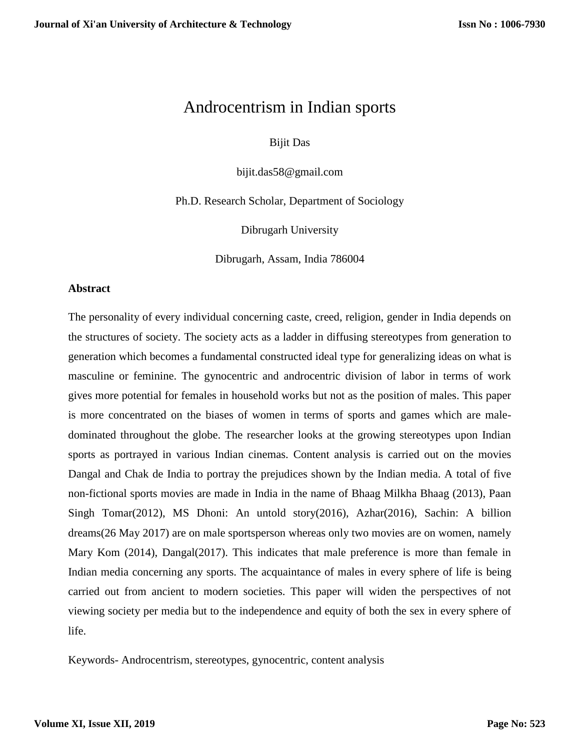# Androcentrism in Indian sports

Bijit Das

bijit.das58@gmail.com

Ph.D. Research Scholar, Department of Sociology

Dibrugarh University

Dibrugarh, Assam, India 786004

#### **Abstract**

The personality of every individual concerning caste, creed, religion, gender in India depends on the structures of society. The society acts as a ladder in diffusing stereotypes from generation to generation which becomes a fundamental constructed ideal type for generalizing ideas on what is masculine or feminine. The gynocentric and androcentric division of labor in terms of work gives more potential for females in household works but not as the position of males. This paper is more concentrated on the biases of women in terms of sports and games which are maledominated throughout the globe. The researcher looks at the growing stereotypes upon Indian sports as portrayed in various Indian cinemas. Content analysis is carried out on the movies Dangal and Chak de India to portray the prejudices shown by the Indian media. A total of five non-fictional sports movies are made in India in the name of Bhaag Milkha Bhaag (2013), Paan Singh Tomar(2012), MS Dhoni: An untold story(2016), Azhar(2016), Sachin: A billion dreams(26 May 2017) are on male sportsperson whereas only two movies are on women, namely Mary Kom (2014), Dangal(2017). This indicates that male preference is more than female in Indian media concerning any sports. The acquaintance of males in every sphere of life is being carried out from ancient to modern societies. This paper will widen the perspectives of not viewing society per media but to the independence and equity of both the sex in every sphere of life.

Keywords- Androcentrism, stereotypes, gynocentric, content analysis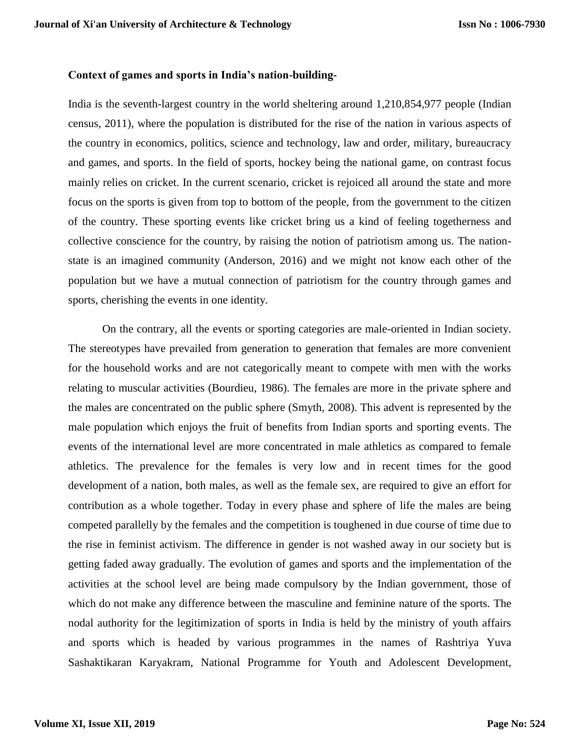# **Context of games and sports in India's nation-building-**

India is the seventh-largest country in the world sheltering around 1,210,854,977 people (Indian census, 2011), where the population is distributed for the rise of the nation in various aspects of the country in economics, politics, science and technology, law and order, military, bureaucracy and games, and sports. In the field of sports, hockey being the national game, on contrast focus mainly relies on cricket. In the current scenario, cricket is rejoiced all around the state and more focus on the sports is given from top to bottom of the people, from the government to the citizen of the country. These sporting events like cricket bring us a kind of feeling togetherness and collective conscience for the country, by raising the notion of patriotism among us. The nationstate is an imagined community (Anderson, 2016) and we might not know each other of the population but we have a mutual connection of patriotism for the country through games and sports, cherishing the events in one identity.

On the contrary, all the events or sporting categories are male-oriented in Indian society. The stereotypes have prevailed from generation to generation that females are more convenient for the household works and are not categorically meant to compete with men with the works relating to muscular activities (Bourdieu, 1986). The females are more in the private sphere and the males are concentrated on the public sphere (Smyth, 2008). This advent is represented by the male population which enjoys the fruit of benefits from Indian sports and sporting events. The events of the international level are more concentrated in male athletics as compared to female athletics. The prevalence for the females is very low and in recent times for the good development of a nation, both males, as well as the female sex, are required to give an effort for contribution as a whole together. Today in every phase and sphere of life the males are being competed parallelly by the females and the competition is toughened in due course of time due to the rise in feminist activism. The difference in gender is not washed away in our society but is getting faded away gradually. The evolution of games and sports and the implementation of the activities at the school level are being made compulsory by the Indian government, those of which do not make any difference between the masculine and feminine nature of the sports. The nodal authority for the legitimization of sports in India is held by the ministry of youth affairs and sports which is headed by various programmes in the names of Rashtriya Yuva Sashaktikaran Karyakram, National Programme for Youth and Adolescent Development,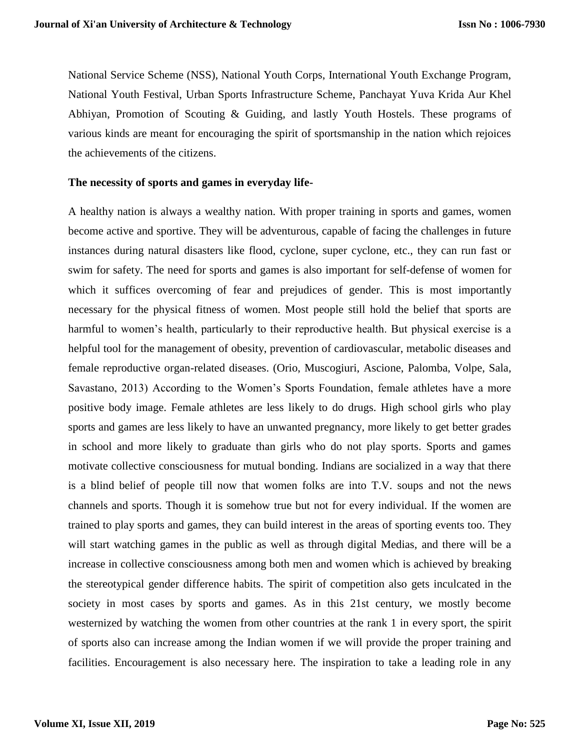National Service Scheme (NSS), National Youth Corps, International Youth Exchange Program, National Youth Festival, Urban Sports Infrastructure Scheme, Panchayat Yuva Krida Aur Khel Abhiyan, Promotion of Scouting & Guiding, and lastly Youth Hostels. These programs of various kinds are meant for encouraging the spirit of sportsmanship in the nation which rejoices the achievements of the citizens.

#### **The necessity of sports and games in everyday life-**

A healthy nation is always a wealthy nation. With proper training in sports and games, women become active and sportive. They will be adventurous, capable of facing the challenges in future instances during natural disasters like flood, cyclone, super cyclone, etc., they can run fast or swim for safety. The need for sports and games is also important for self-defense of women for which it suffices overcoming of fear and prejudices of gender. This is most importantly necessary for the physical fitness of women. Most people still hold the belief that sports are harmful to women's health, particularly to their reproductive health. But physical exercise is a helpful tool for the management of obesity, prevention of cardiovascular, metabolic diseases and female reproductive organ-related diseases. (Orio, Muscogiuri, Ascione, Palomba, Volpe, Sala, Savastano, 2013) According to the Women's Sports Foundation, female athletes have a more positive body image. Female athletes are less likely to do drugs. High school girls who play sports and games are less likely to have an unwanted pregnancy, more likely to get better grades in school and more likely to graduate than girls who do not play sports. Sports and games motivate collective consciousness for mutual bonding. Indians are socialized in a way that there is a blind belief of people till now that women folks are into T.V. soups and not the news channels and sports. Though it is somehow true but not for every individual. If the women are trained to play sports and games, they can build interest in the areas of sporting events too. They will start watching games in the public as well as through digital Medias, and there will be a increase in collective consciousness among both men and women which is achieved by breaking the stereotypical gender difference habits. The spirit of competition also gets inculcated in the society in most cases by sports and games. As in this 21st century, we mostly become westernized by watching the women from other countries at the rank 1 in every sport, the spirit of sports also can increase among the Indian women if we will provide the proper training and facilities. Encouragement is also necessary here. The inspiration to take a leading role in any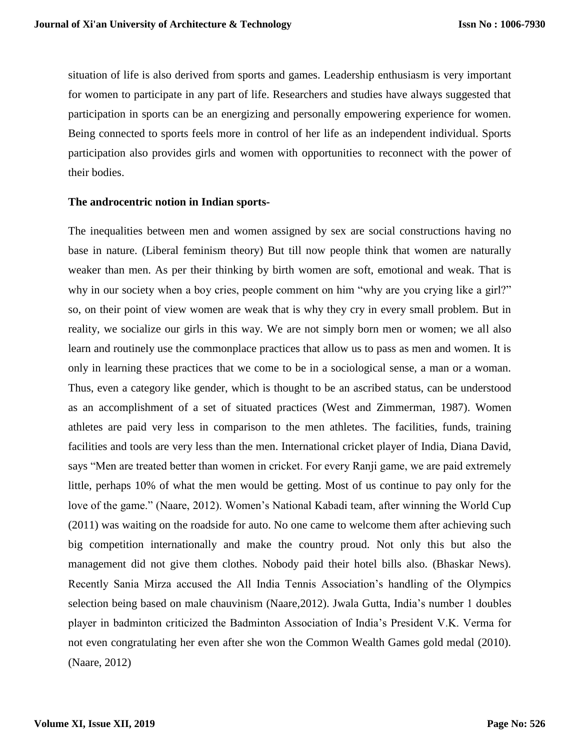situation of life is also derived from sports and games. Leadership enthusiasm is very important for women to participate in any part of life. Researchers and studies have always suggested that participation in sports can be an energizing and personally empowering experience for women. Being connected to sports feels more in control of her life as an independent individual. Sports participation also provides girls and women with opportunities to reconnect with the power of their bodies.

#### **The androcentric notion in Indian sports-**

The inequalities between men and women assigned by sex are social constructions having no base in nature. (Liberal feminism theory) But till now people think that women are naturally weaker than men. As per their thinking by birth women are soft, emotional and weak. That is why in our society when a boy cries, people comment on him "why are you crying like a girl?" so, on their point of view women are weak that is why they cry in every small problem. But in reality, we socialize our girls in this way. We are not simply born men or women; we all also learn and routinely use the commonplace practices that allow us to pass as men and women. It is only in learning these practices that we come to be in a sociological sense, a man or a woman. Thus, even a category like gender, which is thought to be an ascribed status, can be understood as an accomplishment of a set of situated practices (West and Zimmerman, 1987). Women athletes are paid very less in comparison to the men athletes. The facilities, funds, training facilities and tools are very less than the men. International cricket player of India, Diana David, says "Men are treated better than women in cricket. For every Ranji game, we are paid extremely little, perhaps 10% of what the men would be getting. Most of us continue to pay only for the love of the game." (Naare, 2012). Women's National Kabadi team, after winning the World Cup (2011) was waiting on the roadside for auto. No one came to welcome them after achieving such big competition internationally and make the country proud. Not only this but also the management did not give them clothes. Nobody paid their hotel bills also. (Bhaskar News). Recently Sania Mirza accused the All India Tennis Association's handling of the Olympics selection being based on male chauvinism (Naare,2012). Jwala Gutta, India's number 1 doubles player in badminton criticized the Badminton Association of India's President V.K. Verma for not even congratulating her even after she won the Common Wealth Games gold medal (2010). (Naare, 2012)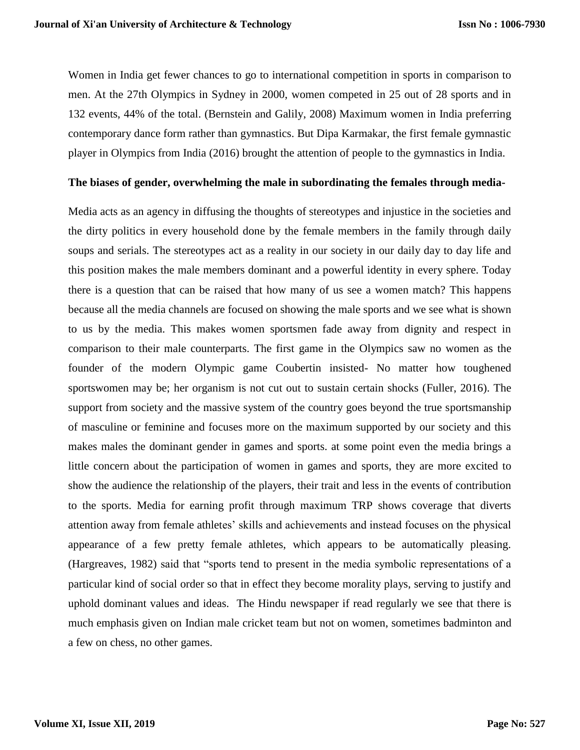Women in India get fewer chances to go to international competition in sports in comparison to men. At the 27th Olympics in Sydney in 2000, women competed in 25 out of 28 sports and in 132 events, 44% of the total. (Bernstein and Galily, 2008) Maximum women in India preferring contemporary dance form rather than gymnastics. But Dipa Karmakar, the first female gymnastic player in Olympics from India (2016) brought the attention of people to the gymnastics in India.

#### **The biases of gender, overwhelming the male in subordinating the females through media-**

Media acts as an agency in diffusing the thoughts of stereotypes and injustice in the societies and the dirty politics in every household done by the female members in the family through daily soups and serials. The stereotypes act as a reality in our society in our daily day to day life and this position makes the male members dominant and a powerful identity in every sphere. Today there is a question that can be raised that how many of us see a women match? This happens because all the media channels are focused on showing the male sports and we see what is shown to us by the media. This makes women sportsmen fade away from dignity and respect in comparison to their male counterparts. The first game in the Olympics saw no women as the founder of the modern Olympic game Coubertin insisted- No matter how toughened sportswomen may be; her organism is not cut out to sustain certain shocks (Fuller, 2016). The support from society and the massive system of the country goes beyond the true sportsmanship of masculine or feminine and focuses more on the maximum supported by our society and this makes males the dominant gender in games and sports. at some point even the media brings a little concern about the participation of women in games and sports, they are more excited to show the audience the relationship of the players, their trait and less in the events of contribution to the sports. Media for earning profit through maximum TRP shows coverage that diverts attention away from female athletes' skills and achievements and instead focuses on the physical appearance of a few pretty female athletes, which appears to be automatically pleasing. (Hargreaves, 1982) said that "sports tend to present in the media symbolic representations of a particular kind of social order so that in effect they become morality plays, serving to justify and uphold dominant values and ideas. The Hindu newspaper if read regularly we see that there is much emphasis given on Indian male cricket team but not on women, sometimes badminton and a few on chess, no other games.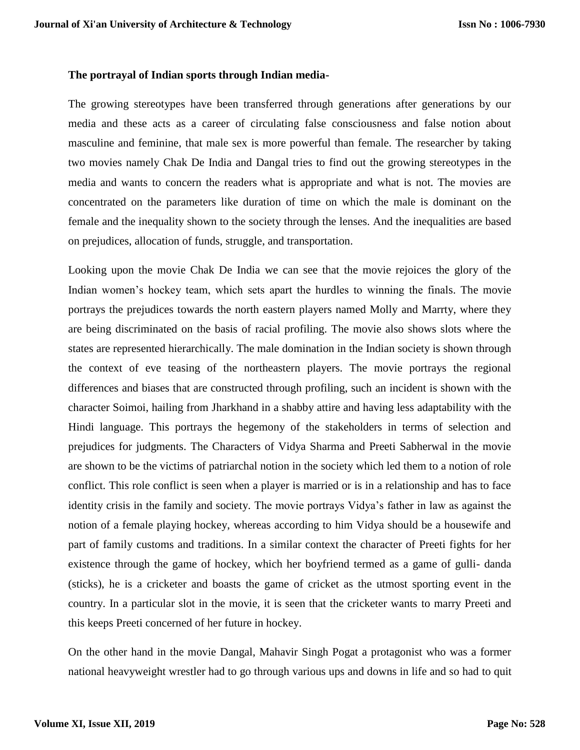# **The portrayal of Indian sports through Indian media-**

The growing stereotypes have been transferred through generations after generations by our media and these acts as a career of circulating false consciousness and false notion about masculine and feminine, that male sex is more powerful than female. The researcher by taking two movies namely Chak De India and Dangal tries to find out the growing stereotypes in the media and wants to concern the readers what is appropriate and what is not. The movies are concentrated on the parameters like duration of time on which the male is dominant on the female and the inequality shown to the society through the lenses. And the inequalities are based on prejudices, allocation of funds, struggle, and transportation.

Looking upon the movie Chak De India we can see that the movie rejoices the glory of the Indian women's hockey team, which sets apart the hurdles to winning the finals. The movie portrays the prejudices towards the north eastern players named Molly and Marrty, where they are being discriminated on the basis of racial profiling. The movie also shows slots where the states are represented hierarchically. The male domination in the Indian society is shown through the context of eve teasing of the northeastern players. The movie portrays the regional differences and biases that are constructed through profiling, such an incident is shown with the character Soimoi, hailing from Jharkhand in a shabby attire and having less adaptability with the Hindi language. This portrays the hegemony of the stakeholders in terms of selection and prejudices for judgments. The Characters of Vidya Sharma and Preeti Sabherwal in the movie are shown to be the victims of patriarchal notion in the society which led them to a notion of role conflict. This role conflict is seen when a player is married or is in a relationship and has to face identity crisis in the family and society. The movie portrays Vidya's father in law as against the notion of a female playing hockey, whereas according to him Vidya should be a housewife and part of family customs and traditions. In a similar context the character of Preeti fights for her existence through the game of hockey, which her boyfriend termed as a game of gulli- danda (sticks), he is a cricketer and boasts the game of cricket as the utmost sporting event in the country. In a particular slot in the movie, it is seen that the cricketer wants to marry Preeti and this keeps Preeti concerned of her future in hockey.

On the other hand in the movie Dangal, Mahavir Singh Pogat a protagonist who was a former national heavyweight wrestler had to go through various ups and downs in life and so had to quit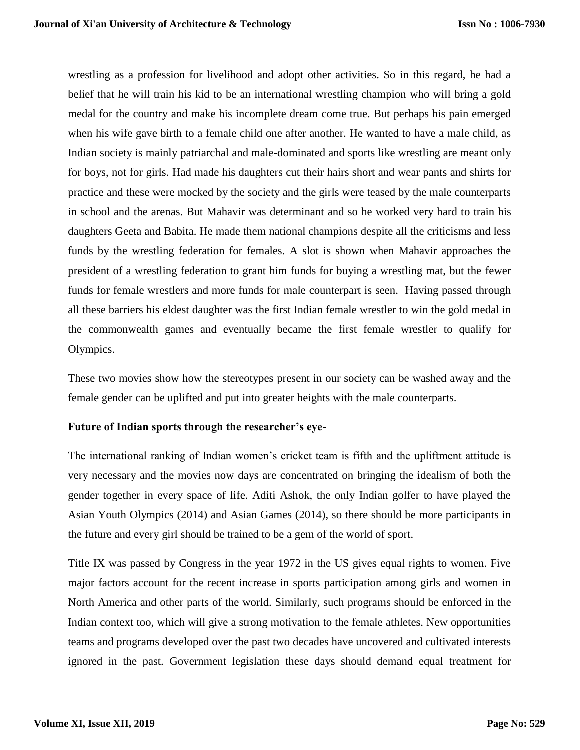wrestling as a profession for livelihood and adopt other activities. So in this regard, he had a belief that he will train his kid to be an international wrestling champion who will bring a gold medal for the country and make his incomplete dream come true. But perhaps his pain emerged when his wife gave birth to a female child one after another. He wanted to have a male child, as Indian society is mainly patriarchal and male-dominated and sports like wrestling are meant only for boys, not for girls. Had made his daughters cut their hairs short and wear pants and shirts for practice and these were mocked by the society and the girls were teased by the male counterparts in school and the arenas. But Mahavir was determinant and so he worked very hard to train his daughters Geeta and Babita. He made them national champions despite all the criticisms and less funds by the wrestling federation for females. A slot is shown when Mahavir approaches the president of a wrestling federation to grant him funds for buying a wrestling mat, but the fewer funds for female wrestlers and more funds for male counterpart is seen. Having passed through all these barriers his eldest daughter was the first Indian female wrestler to win the gold medal in the commonwealth games and eventually became the first female wrestler to qualify for Olympics.

These two movies show how the stereotypes present in our society can be washed away and the female gender can be uplifted and put into greater heights with the male counterparts.

# **Future of Indian sports through the researcher's eye-**

The international ranking of Indian women's cricket team is fifth and the upliftment attitude is very necessary and the movies now days are concentrated on bringing the idealism of both the gender together in every space of life. Aditi Ashok, the only Indian golfer to have played the Asian Youth Olympics (2014) and Asian Games (2014), so there should be more participants in the future and every girl should be trained to be a gem of the world of sport.

Title IX was passed by Congress in the year 1972 in the US gives equal rights to women. Five major factors account for the recent increase in sports participation among girls and women in North America and other parts of the world. Similarly, such programs should be enforced in the Indian context too, which will give a strong motivation to the female athletes. New opportunities teams and programs developed over the past two decades have uncovered and cultivated interests ignored in the past. Government legislation these days should demand equal treatment for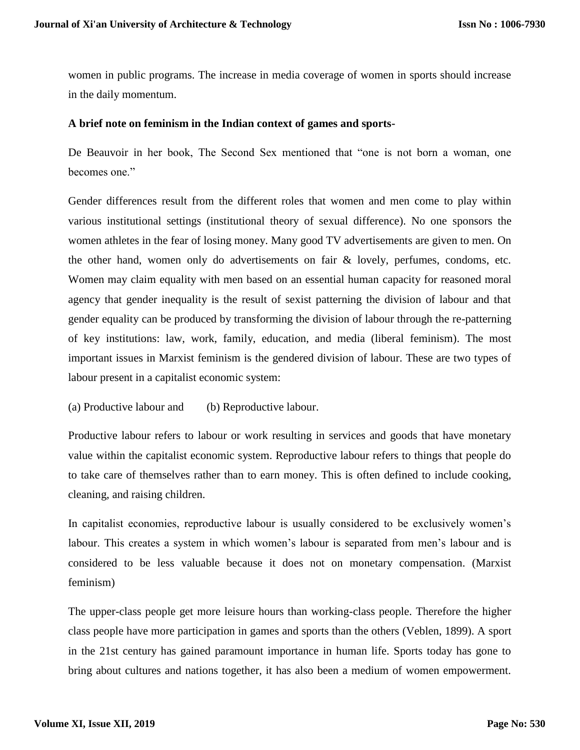women in public programs. The increase in media coverage of women in sports should increase in the daily momentum.

### **A brief note on feminism in the Indian context of games and sports-**

De Beauvoir in her book, The Second Sex mentioned that "one is not born a woman, one becomes one."

Gender differences result from the different roles that women and men come to play within various institutional settings (institutional theory of sexual difference). No one sponsors the women athletes in the fear of losing money. Many good TV advertisements are given to men. On the other hand, women only do advertisements on fair & lovely, perfumes, condoms, etc. Women may claim equality with men based on an essential human capacity for reasoned moral agency that gender inequality is the result of sexist patterning the division of labour and that gender equality can be produced by transforming the division of labour through the re-patterning of key institutions: law, work, family, education, and media (liberal feminism). The most important issues in Marxist feminism is the gendered division of labour. These are two types of labour present in a capitalist economic system:

(a) Productive labour and (b) Reproductive labour.

Productive labour refers to labour or work resulting in services and goods that have monetary value within the capitalist economic system. Reproductive labour refers to things that people do to take care of themselves rather than to earn money. This is often defined to include cooking, cleaning, and raising children.

In capitalist economies, reproductive labour is usually considered to be exclusively women's labour. This creates a system in which women's labour is separated from men's labour and is considered to be less valuable because it does not on monetary compensation. (Marxist feminism)

The upper-class people get more leisure hours than working-class people. Therefore the higher class people have more participation in games and sports than the others (Veblen, 1899). A sport in the 21st century has gained paramount importance in human life. Sports today has gone to bring about cultures and nations together, it has also been a medium of women empowerment.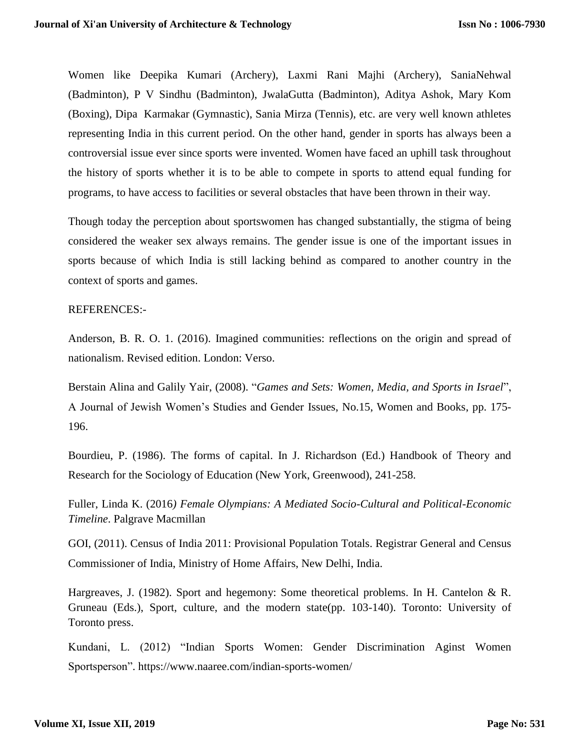Women like Deepika Kumari (Archery), Laxmi Rani Majhi (Archery), SaniaNehwal (Badminton), P V Sindhu (Badminton), JwalaGutta (Badminton), Aditya Ashok, Mary Kom (Boxing), Dipa Karmakar (Gymnastic), Sania Mirza (Tennis), etc. are very well known athletes representing India in this current period. On the other hand, gender in sports has always been a controversial issue ever since sports were invented. Women have faced an uphill task throughout the history of sports whether it is to be able to compete in sports to attend equal funding for programs, to have access to facilities or several obstacles that have been thrown in their way.

Though today the perception about sportswomen has changed substantially, the stigma of being considered the weaker sex always remains. The gender issue is one of the important issues in sports because of which India is still lacking behind as compared to another country in the context of sports and games.

# REFERENCES:-

Anderson, B. R. O. 1. (2016). Imagined communities: reflections on the origin and spread of nationalism. Revised edition. London: Verso.

Berstain Alina and Galily Yair, (2008). "*Games and Sets: Women, Media, and Sports in Israel*", A Journal of Jewish Women's Studies and Gender Issues, No.15, Women and Books, pp. 175- 196.

Bourdieu, P. (1986). The forms of capital. In J. Richardson (Ed.) Handbook of Theory and Research for the Sociology of Education (New York, Greenwood), 241-258.

Fuller, Linda K. (2016*) Female Olympians: A Mediated Socio-Cultural and Political-Economic Timeline*. Palgrave Macmillan

GOI, (2011). Census of India 2011: Provisional Population Totals. Registrar General and Census Commissioner of India, Ministry of Home Affairs, New Delhi, India.

Hargreaves, J. (1982). Sport and hegemony: Some theoretical problems. In H. Cantelon & R. Gruneau (Eds.), Sport, culture, and the modern state(pp. 103-140). Toronto: University of Toronto press.

Kundani, L. (2012) "Indian Sports Women: Gender Discrimination Aginst Women Sportsperson". https://www.naaree.com/indian-sports-women/